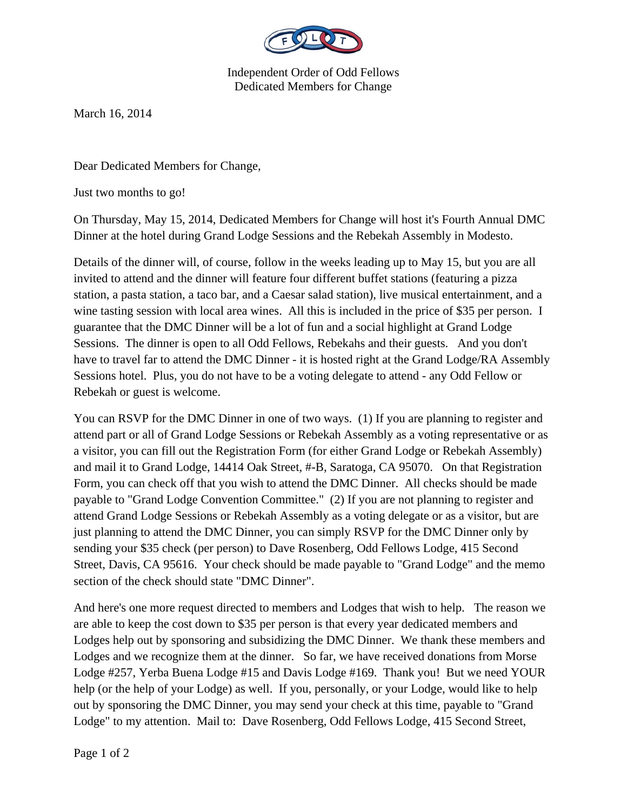

Independent Order of Odd Fellows Dedicated Members for Change

March 16, 2014

Dear Dedicated Members for Change,

Just two months to go!

On Thursday, May 15, 2014, Dedicated Members for Change will host it's Fourth Annual DMC Dinner at the hotel during Grand Lodge Sessions and the Rebekah Assembly in Modesto.

Details of the dinner will, of course, follow in the weeks leading up to May 15, but you are all invited to attend and the dinner will feature four different buffet stations (featuring a pizza station, a pasta station, a taco bar, and a Caesar salad station), live musical entertainment, and a wine tasting session with local area wines. All this is included in the price of \$35 per person. I guarantee that the DMC Dinner will be a lot of fun and a social highlight at Grand Lodge Sessions. The dinner is open to all Odd Fellows, Rebekahs and their guests. And you don't have to travel far to attend the DMC Dinner - it is hosted right at the Grand Lodge/RA Assembly Sessions hotel. Plus, you do not have to be a voting delegate to attend - any Odd Fellow or Rebekah or guest is welcome.

You can RSVP for the DMC Dinner in one of two ways. (1) If you are planning to register and attend part or all of Grand Lodge Sessions or Rebekah Assembly as a voting representative or as a visitor, you can fill out the Registration Form (for either Grand Lodge or Rebekah Assembly) and mail it to Grand Lodge, 14414 Oak Street, #-B, Saratoga, CA 95070. On that Registration Form, you can check off that you wish to attend the DMC Dinner. All checks should be made payable to "Grand Lodge Convention Committee." (2) If you are not planning to register and attend Grand Lodge Sessions or Rebekah Assembly as a voting delegate or as a visitor, but are just planning to attend the DMC Dinner, you can simply RSVP for the DMC Dinner only by sending your \$35 check (per person) to Dave Rosenberg, Odd Fellows Lodge, 415 Second Street, Davis, CA 95616. Your check should be made payable to "Grand Lodge" and the memo section of the check should state "DMC Dinner".

And here's one more request directed to members and Lodges that wish to help. The reason we are able to keep the cost down to \$35 per person is that every year dedicated members and Lodges help out by sponsoring and subsidizing the DMC Dinner. We thank these members and Lodges and we recognize them at the dinner. So far, we have received donations from Morse Lodge #257, Yerba Buena Lodge #15 and Davis Lodge #169. Thank you! But we need YOUR help (or the help of your Lodge) as well. If you, personally, or your Lodge, would like to help out by sponsoring the DMC Dinner, you may send your check at this time, payable to "Grand Lodge" to my attention. Mail to: Dave Rosenberg, Odd Fellows Lodge, 415 Second Street,